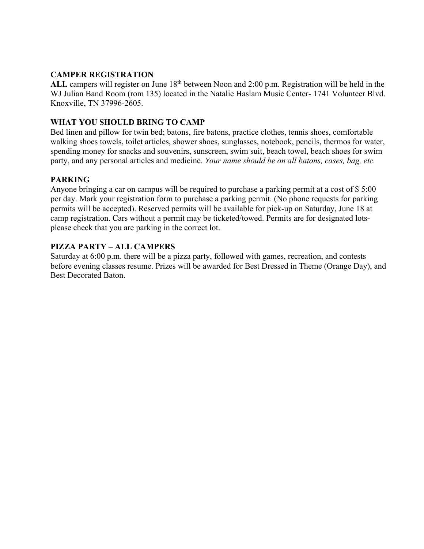#### **CAMPER REGISTRATION**

ALL campers will register on June 18<sup>th</sup> between Noon and 2:00 p.m. Registration will be held in the WJ Julian Band Room (rom 135) located in the Natalie Haslam Music Center- 1741 Volunteer Blvd. Knoxville, TN 37996-2605.

## **WHAT YOU SHOULD BRING TO CAMP**

Bed linen and pillow for twin bed; batons, fire batons, practice clothes, tennis shoes, comfortable walking shoes towels, toilet articles, shower shoes, sunglasses, notebook, pencils, thermos for water, spending money for snacks and souvenirs, sunscreen, swim suit, beach towel, beach shoes for swim party, and any personal articles and medicine. *Your name should be on all batons, cases, bag, etc.* 

## **PARKING**

Anyone bringing a car on campus will be required to purchase a parking permit at a cost of \$ 5:00 per day. Mark your registration form to purchase a parking permit. (No phone requests for parking permits will be accepted). Reserved permits will be available for pick-up on Saturday, June 18 at camp registration. Cars without a permit may be ticketed/towed. Permits are for designated lotsplease check that you are parking in the correct lot.

## **PIZZA PARTY – ALL CAMPERS**

Saturday at 6:00 p.m. there will be a pizza party, followed with games, recreation, and contests before evening classes resume. Prizes will be awarded for Best Dressed in Theme (Orange Day), and Best Decorated Baton.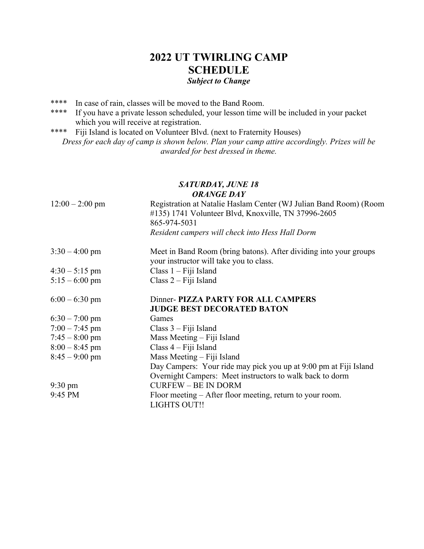# **2022 UT TWIRLING CAMP SCHEDULE** *Subject to Change*

- \*\*\*\* In case of rain, classes will be moved to the Band Room.
- \*\*\*\* If you have a private lesson scheduled, your lesson time will be included in your packet which you will receive at registration.
- \*\*\*\* Fiji Island is located on Volunteer Blvd. (next to Fraternity Houses) *Dress for each day of camp is shown below. Plan your camp attire accordingly. Prizes will be awarded for best dressed in theme.*

## *SATURDAY, JUNE 18 ORANGE DAY*

| $12:00 - 2:00$ pm | Registration at Natalie Haslam Center (WJ Julian Band Room) (Room<br>#135) 1741 Volunteer Blvd, Knoxville, TN 37996-2605<br>865-974-5031 |
|-------------------|------------------------------------------------------------------------------------------------------------------------------------------|
|                   | Resident campers will check into Hess Hall Dorm                                                                                          |
| $3:30 - 4:00$ pm  | Meet in Band Room (bring batons). After dividing into your groups<br>your instructor will take you to class.                             |
| $4:30 - 5:15$ pm  | Class $1 -$ Fiji Island                                                                                                                  |
| $5:15 - 6:00$ pm  | Class $2 -$ Fiji Island                                                                                                                  |
| $6:00 - 6:30$ pm  | Dinner- PIZZA PARTY FOR ALL CAMPERS<br><b>JUDGE BEST DECORATED BATON</b>                                                                 |
| $6:30 - 7:00$ pm  | Games                                                                                                                                    |
| $7:00 - 7:45$ pm  | $Class 3 - Fiji Island$                                                                                                                  |
| $7:45 - 8:00$ pm  | Mass Meeting – Fiji Island                                                                                                               |
| $8:00 - 8:45$ pm  | $Class 4 - Fiji Island$                                                                                                                  |
| $8:45 - 9:00$ pm  | Mass Meeting – Fiji Island                                                                                                               |
|                   | Day Campers: Your ride may pick you up at 9:00 pm at Fiji Island                                                                         |
|                   | Overnight Campers: Meet instructors to walk back to dorm                                                                                 |
| $9:30 \text{ pm}$ | <b>CURFEW - BE IN DORM</b>                                                                                                               |
| 9:45 PM           | Floor meeting $-$ After floor meeting, return to your room.                                                                              |
|                   | <b>LIGHTS OUT!!</b>                                                                                                                      |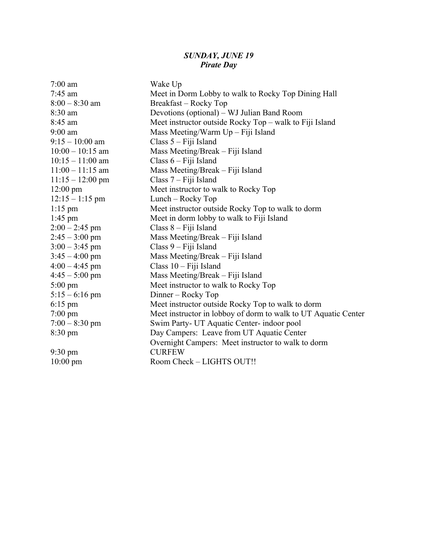#### *SUNDAY, JUNE 19 Pirate Day*

| $7:00$ am              | Wake Up                                                        |
|------------------------|----------------------------------------------------------------|
| $7:45$ am              | Meet in Dorm Lobby to walk to Rocky Top Dining Hall            |
| $8:00 - 8:30$ am       | Breakfast - Rocky Top                                          |
| 8:30 am                | Devotions (optional) – WJ Julian Band Room                     |
| 8:45 am                | Meet instructor outside Rocky Top - walk to Fiji Island        |
| $9:00$ am              | Mass Meeting/Warm Up - Fiji Island                             |
| $9:15 - 10:00$ am      | Class 5 - Fiji Island                                          |
| $10:00 - 10:15$ am     | Mass Meeting/Break - Fiji Island                               |
| $10:15 - 11:00$ am     | Class 6 – Fiji Island                                          |
| $11:00 - 11:15$ am     | Mass Meeting/Break - Fiji Island                               |
| $11:15 - 12:00$ pm     | Class 7 - Fiji Island                                          |
| $12:00 \text{ pm}$     | Meet instructor to walk to Rocky Top                           |
| $12:15 - 1:15$ pm      | Lunch - Rocky Top                                              |
| $1:15$ pm              | Meet instructor outside Rocky Top to walk to dorm              |
| $1:45$ pm              | Meet in dorm lobby to walk to Fiji Island                      |
| $2:00 - 2:45$ pm       | Class 8 - Fiji Island                                          |
| $2:45 - 3:00$ pm       | Mass Meeting/Break – Fiji Island                               |
| $3:00 - 3:45$ pm       | Class 9 - Fiji Island                                          |
| $3:45 - 4:00$ pm       | Mass Meeting/Break – Fiji Island                               |
| $4:00 - 4:45$ pm       | Class 10 - Fiji Island                                         |
| $4:45-5:00 \text{ pm}$ | Mass Meeting/Break - Fiji Island                               |
| $5:00 \text{ pm}$      | Meet instructor to walk to Rocky Top                           |
| $5:15 - 6:16$ pm       | Dinner – Rocky Top                                             |
| $6:15$ pm              | Meet instructor outside Rocky Top to walk to dorm              |
| $7:00 \text{ pm}$      | Meet instructor in lobboy of dorm to walk to UT Aquatic Center |
| $7:00 - 8:30$ pm       | Swim Party- UT Aquatic Center- indoor pool                     |
| $8:30 \text{ pm}$      | Day Campers: Leave from UT Aquatic Center                      |
|                        | Overnight Campers: Meet instructor to walk to dorm             |
| 9:30 pm                | <b>CURFEW</b>                                                  |
| $10:00$ pm             | Room Check - LIGHTS OUT!!                                      |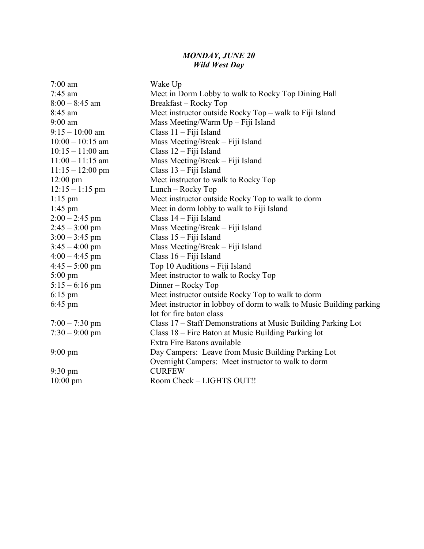#### *MONDAY, JUNE 20 Wild West Day*

| $7:00$ am          | Wake Up                                                             |
|--------------------|---------------------------------------------------------------------|
| $7:45$ am          | Meet in Dorm Lobby to walk to Rocky Top Dining Hall                 |
| $8:00 - 8:45$ am   | Breakfast - Rocky Top                                               |
| 8:45 am            | Meet instructor outside Rocky Top – walk to Fiji Island             |
| $9:00$ am          | Mass Meeting/Warm $Up$ – Fiji Island                                |
| $9:15 - 10:00$ am  | Class $11 -$ Fiji Island                                            |
| $10:00 - 10:15$ am | Mass Meeting/Break - Fiji Island                                    |
| $10:15 - 11:00$ am | Class $12$ – Fiji Island                                            |
| $11:00 - 11:15$ am | Mass Meeting/Break - Fiji Island                                    |
| $11:15 - 12:00$ pm | Class $13 -$ Fiji Island                                            |
| $12:00 \text{ pm}$ | Meet instructor to walk to Rocky Top                                |
| $12:15 - 1:15$ pm  | Lunch – Rocky Top                                                   |
| $1:15$ pm          | Meet instructor outside Rocky Top to walk to dorm                   |
| $1:45$ pm          | Meet in dorm lobby to walk to Fiji Island                           |
| $2:00 - 2:45$ pm   | Class $14 -$ Fiji Island                                            |
| $2:45 - 3:00$ pm   | Mass Meeting/Break - Fiji Island                                    |
| $3:00 - 3:45$ pm   | Class $15 -$ Fiji Island                                            |
| $3:45 - 4:00$ pm   | Mass Meeting/Break – Fiji Island                                    |
| $4:00 - 4:45$ pm   | Class 16 - Fiji Island                                              |
| $4:45 - 5:00$ pm   | Top 10 Auditions - Fiji Island                                      |
| $5:00 \text{ pm}$  | Meet instructor to walk to Rocky Top                                |
| $5:15 - 6:16$ pm   | Dinner – Rocky Top                                                  |
| $6:15$ pm          | Meet instructor outside Rocky Top to walk to dorm                   |
| $6:45$ pm          | Meet instructor in lobboy of dorm to walk to Music Building parking |
|                    | lot for fire baton class                                            |
| $7:00 - 7:30$ pm   | Class 17 – Staff Demonstrations at Music Building Parking Lot       |
| $7:30 - 9:00$ pm   | Class 18 – Fire Baton at Music Building Parking lot                 |
|                    | Extra Fire Batons available                                         |
| $9:00 \text{ pm}$  | Day Campers: Leave from Music Building Parking Lot                  |
|                    | Overnight Campers: Meet instructor to walk to dorm                  |
| 9:30 pm            | <b>CURFEW</b>                                                       |
| $10:00$ pm         | Room Check - LIGHTS OUT!!                                           |